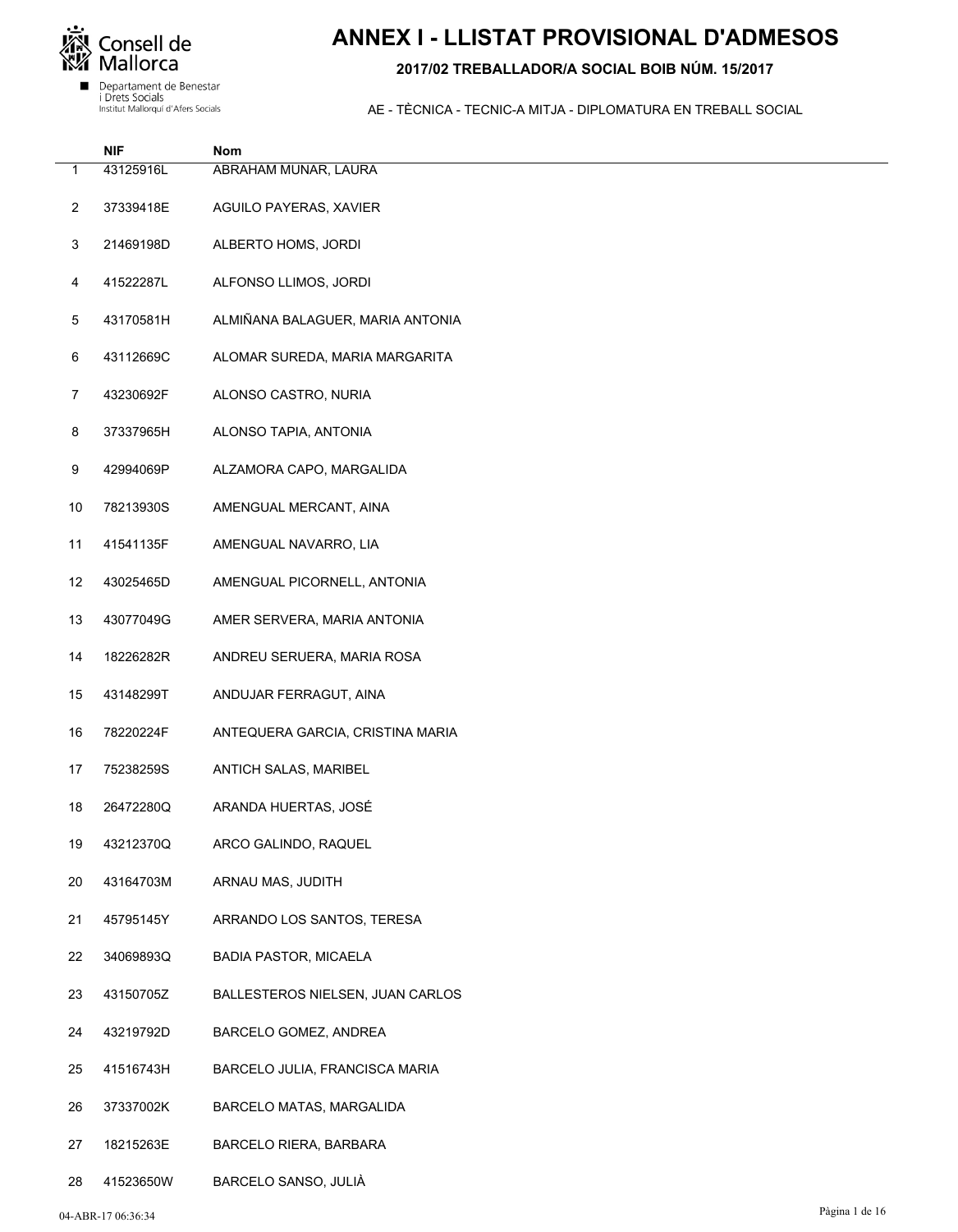

# **ANNEX I - LLISTAT PROVISIONAL D'ADMESOS**

### 2017/02 TREBALLADOR/A SOCIAL BOIB NÚM. 15/2017

|                | <b>NIF</b> | Nom                              |
|----------------|------------|----------------------------------|
| 1              | 43125916L  | ABRAHAM MUNAR, LAURA             |
| $\overline{2}$ | 37339418E  | AGUILO PAYERAS, XAVIER           |
| 3              | 21469198D  | ALBERTO HOMS, JORDI              |
| 4              | 41522287L  | ALFONSO LLIMOS, JORDI            |
| 5              | 43170581H  | ALMIÑANA BALAGUER, MARIA ANTONIA |
| 6              | 43112669C  | ALOMAR SUREDA, MARIA MARGARITA   |
| $\overline{7}$ | 43230692F  | ALONSO CASTRO, NURIA             |
| 8              | 37337965H  | ALONSO TAPIA, ANTONIA            |
| 9              | 42994069P  | ALZAMORA CAPO, MARGALIDA         |
| 10             | 78213930S  | AMENGUAL MERCANT, AINA           |
| 11             | 41541135F  | AMENGUAL NAVARRO, LIA            |
| 12             | 43025465D  | AMENGUAL PICORNELL, ANTONIA      |
| 13             | 43077049G  | AMER SERVERA, MARIA ANTONIA      |
| 14             | 18226282R  | ANDREU SERUERA, MARIA ROSA       |
| 15             | 43148299T  | ANDUJAR FERRAGUT, AINA           |
| 16             | 78220224F  | ANTEQUERA GARCIA, CRISTINA MARIA |
| 17             | 75238259S  | ANTICH SALAS, MARIBEL            |
| 18             | 26472280Q  | ARANDA HUERTAS, JOSÉ             |
| 19             | 43212370Q  | ARCO GALINDO, RAQUEL             |
| 20             | 43164703M  | ARNAU MAS, JUDITH                |
| 21             | 45795145Y  | ARRANDO LOS SANTOS, TERESA       |
| 22             | 34069893Q  | <b>BADIA PASTOR, MICAELA</b>     |
| 23             | 43150705Z  | BALLESTEROS NIELSEN, JUAN CARLOS |
| 24             | 43219792D  | BARCELO GOMEZ, ANDREA            |
| 25             | 41516743H  | BARCELO JULIA, FRANCISCA MARIA   |
| 26             | 37337002K  | BARCELO MATAS, MARGALIDA         |
| 27             | 18215263E  | BARCELO RIERA, BARBARA           |
| 28             | 41523650W  | BARCELO SANSO, JULIÀ             |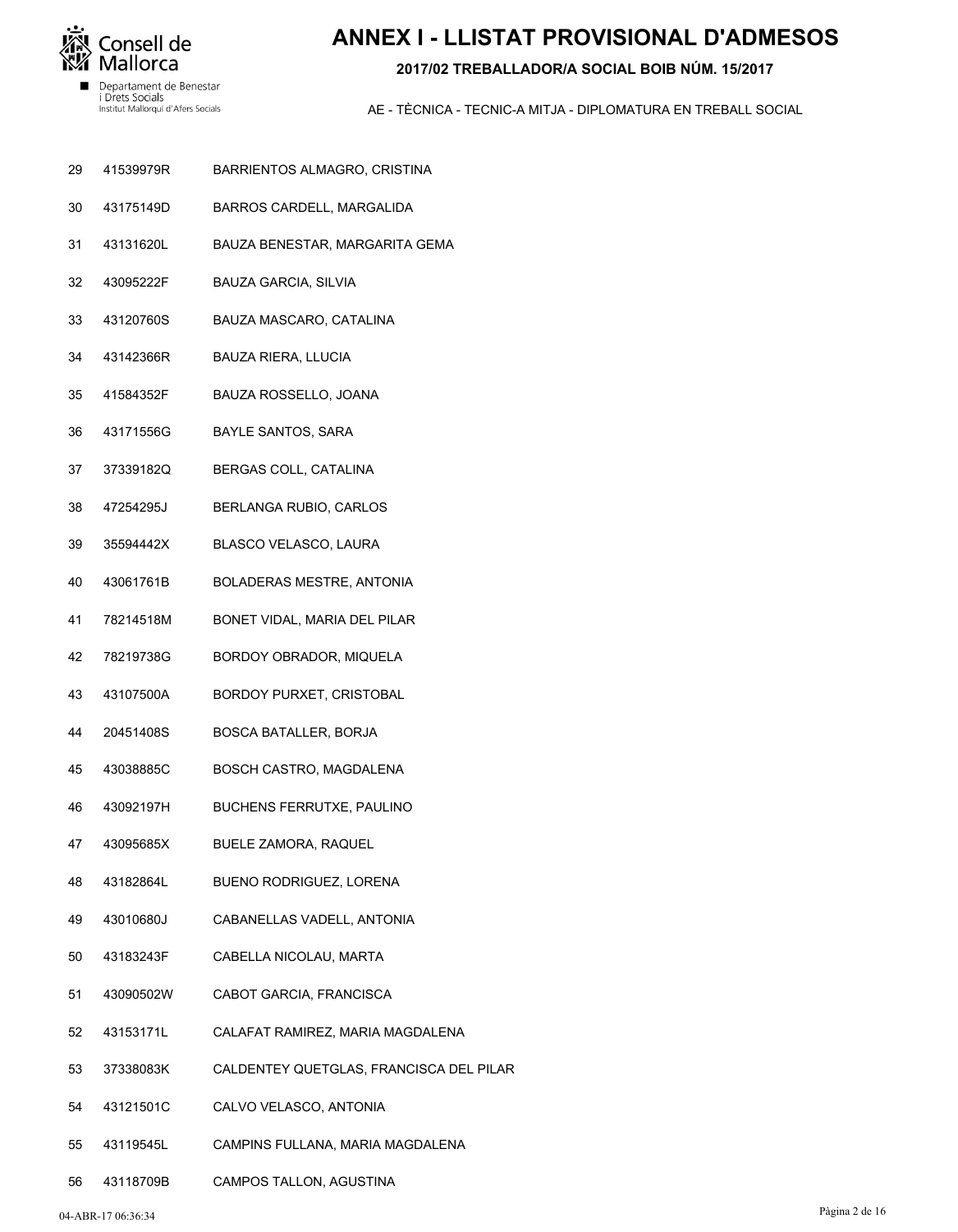

# **ANNEX I - LLISTAT PROVISIONAL D'ADMESOS**

### **2017/02 TREBALLADOR/A SOCIAL BOIB NÚM. 15/2017**

- BARRIENTOS ALMAGRO, CRISTINA 41539979R 29
- BARROS CARDELL, MARGALIDA 43175149D 30
- BAUZA BENESTAR, MARGARITA GEMA 43131620L 31
- BAUZA GARCIA, SILVIA 43095222F 32
- BAUZA MASCARO, CATALINA 43120760S 33
- BAUZA RIERA, LLUCIA 43142366R 34
- BAUZA ROSSELLO, JOANA 41584352F 35
- BAYLE SANTOS, SARA 43171556G 36
- BERGAS COLL, CATALINA 37339182Q 37
- BERLANGA RUBIO, CARLOS 47254295J 38
- BLASCO VELASCO, LAURA 35594442X 39
- BOLADERAS MESTRE, ANTONIA 43061761B 40
- BONET VIDAL, MARIA DEL PILAR 78214518M 41
- BORDOY OBRADOR, MIQUELA 78219738G 42
- BORDOY PURXET, CRISTOBAL 43107500A 43
- BOSCA BATALLER, BORJA 20451408S 44
- BOSCH CASTRO, MAGDALENA 43038885C 45
- BUCHENS FERRUTXE, PAULINO 43092197H 46
- BUELE ZAMORA, RAQUEL 43095685X 47
- BUENO RODRIGUEZ, LORENA 43182864L 48
- CABANELLAS VADELL, ANTONIA 43010680J 49
- CABELLA NICOLAU, MARTA 43183243F 50
- CABOT GARCIA, FRANCISCA 43090502W 51
- CALAFAT RAMIREZ, MARIA MAGDALENA 43153171L 52
- CALDENTEY QUETGLAS, FRANCISCA DEL PILAR 37338083K 53
- CALVO VELASCO, ANTONIA 43121501C 54
- CAMPINS FULLANA, MARIA MAGDALENA 43119545L 55
- CAMPOS TALLON, AGUSTINA 43118709B 56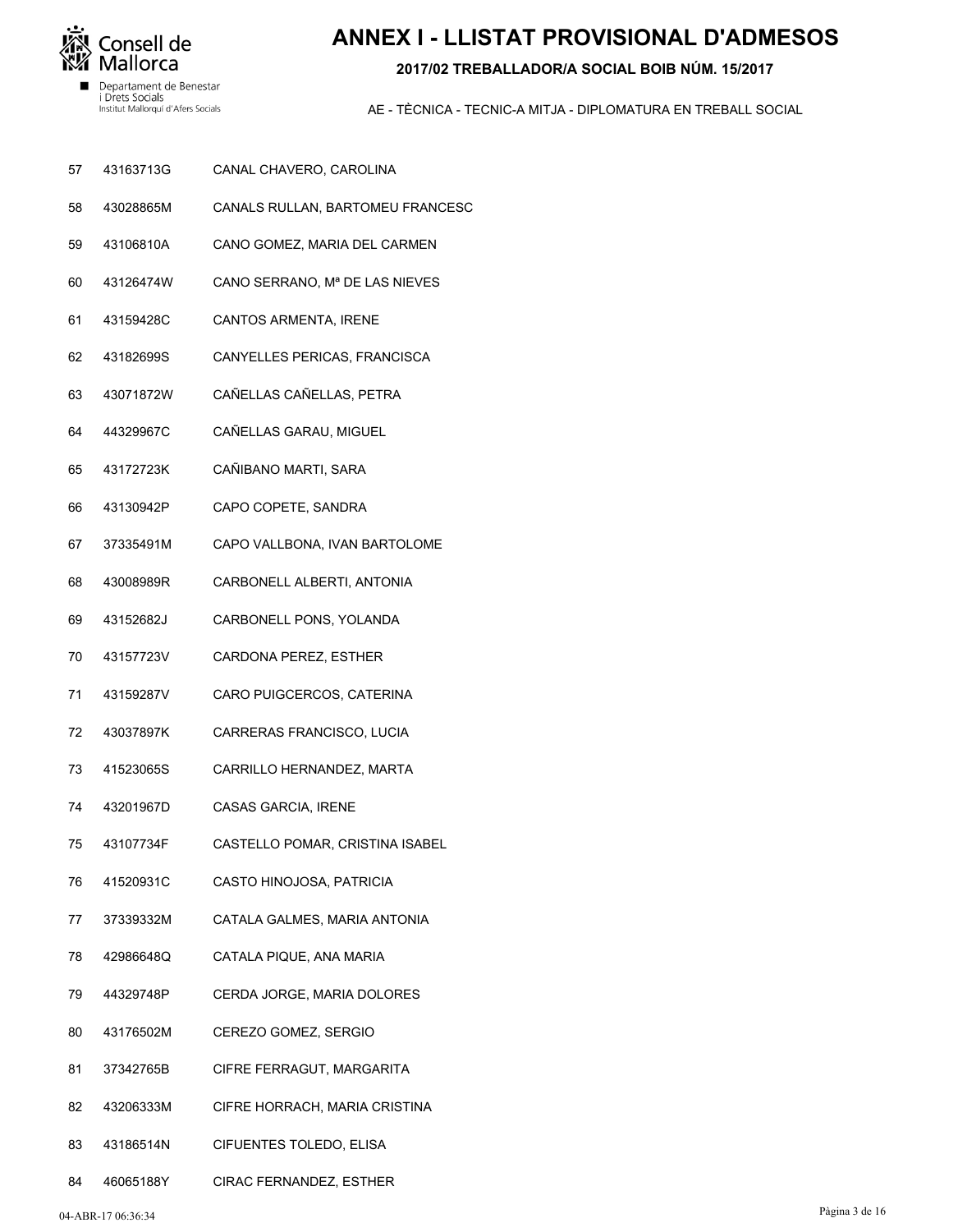

# **ANNEX I - LLISTAT PROVISIONAL D'ADMESOS**

### 2017/02 TREBALLADOR/A SOCIAL BOIB NÚM, 15/2017

- 57 43163713G CANAL CHAVERO, CAROLINA
- 43028865M CANALS RULLAN, BARTOMEU FRANCESC 58
- 59 43106810A CANO GOMEZ, MARIA DEL CARMEN
- 60 43126474W CANO SERRANO, Mª DE LAS NIEVES
- 61 43159428C CANTOS ARMENTA, IRENE
- 43182699S CANYELLES PERICAS, FRANCISCA 62
- 63 43071872W CAÑELLAS CAÑELLAS, PETRA
- 44329967C CAÑELLAS GARAU, MIGUEL 64
- 43172723K CAÑIBANO MARTI, SARA 65
- 43130942P CAPO COPETE, SANDRA 66
- 67 37335491M CAPO VALLBONA, IVAN BARTOLOME
- 68 43008989R CARBONELL ALBERTI, ANTONIA
- 69 43152682J CARBONELL PONS, YOLANDA
- 70 43157723V CARDONA PEREZ, ESTHER
- $71$ 43159287V CARO PUIGCERCOS, CATERINA
- 72 43037897K CARRERAS FRANCISCO, LUCIA
- 41523065S 73 CARRILLO HERNANDEZ, MARTA
- 74 43201967D CASAS GARCIA, IRENE
- 75 43107734F CASTELLO POMAR, CRISTINA ISABEL
- 76 41520931C CASTO HINOJOSA, PATRICIA
- 77 37339332M CATALA GALMES, MARIA ANTONIA
- 78 42986648Q CATALA PIQUE, ANA MARIA
- 44329748P CERDA JORGE. MARIA DOLORES 79
- 80 43176502M CEREZO GOMEZ, SERGIO
- 37342765B CIFRE FERRAGUT, MARGARITA  $81$
- 43206333M 82 CIFRE HORRACH, MARIA CRISTINA
- 83 43186514N **CIFUENTES TOLEDO, ELISA**
- 84 46065188Y CIRAC FERNANDEZ, ESTHER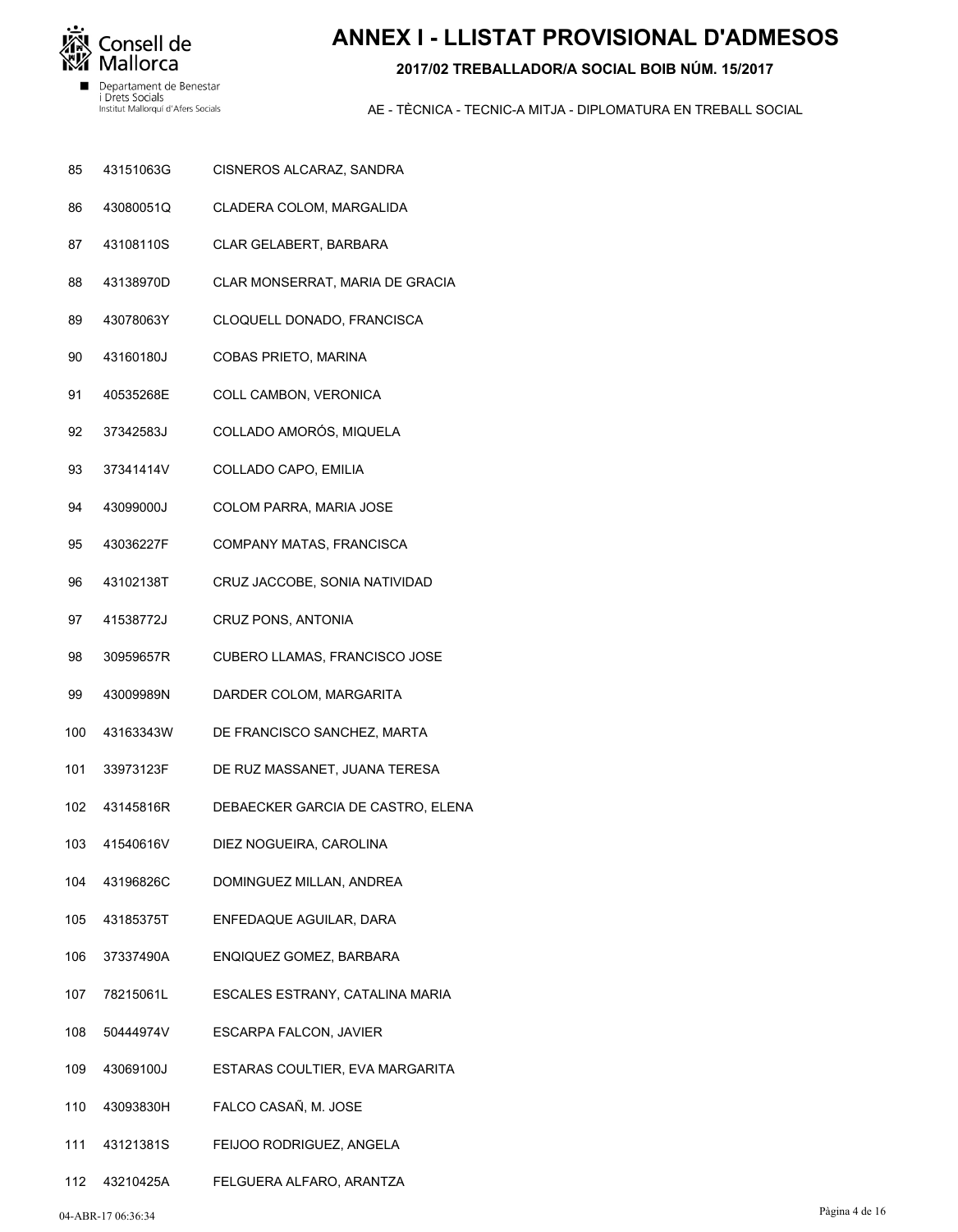

# **ANNEX I - LLISTAT PROVISIONAL D'ADMESOS**

### 2017/02 TREBALLADOR/A SOCIAL BOIB NÚM, 15/2017

- 85 43151063G CISNEROS ALCARAZ, SANDRA
- 43080051Q CLADERA COLOM, MARGALIDA 86
- 87 43108110S CLAR GELABERT, BARBARA
- 88 43138970D CLAR MONSERRAT, MARIA DE GRACIA
- 89 43078063Y CLOQUELL DONADO, FRANCISCA
- 43160180J COBAS PRIETO, MARINA 90
- 91 40535268E COLL CAMBON, VERONICA
- 37342583J COLLADO AMORÓS, MIQUELA 92
- 37341414V 93 COLLADO CAPO, EMILIA
- 43099000J COLOM PARRA, MARIA JOSE 94
- 43036227F 95 COMPANY MATAS, FRANCISCA
- 96 43102138T CRUZ JACCOBE, SONIA NATIVIDAD
- 97 41538772J CRUZ PONS, ANTONIA
- 98 30959657R CUBERO LLAMAS, FRANCISCO JOSE
- 99 43009989N DARDER COLOM, MARGARITA
- 43163343W DE FRANCISCO SANCHEZ, MARTA  $100$
- 33973123F DE RUZ MASSANET, JUANA TERESA 101
- 43145816R 102 DEBAECKER GARCIA DE CASTRO, ELENA
- 41540616V 103 DIEZ NOGUEIRA, CAROLINA
- 104 43196826C DOMINGUEZ MILLAN, ANDREA
- 105 43185375T ENFEDAQUE AGUILAR, DARA
- 106 37337490A ENQIQUEZ GOMEZ, BARBARA
- 78215061L 107 ESCALES ESTRANY, CATALINA MARIA
- 50444974V ESCARPA FALCON, JAVIER 108
- 43069100J ESTARAS COULTIER, EVA MARGARITA 109
- 43093830H FALCO CASAÑ, M. JOSE  $110$
- 43121381S FEIJOO RODRIGUEZ, ANGELA  $111$
- 112 43210425A FELGUERA ALFARO, ARANTZA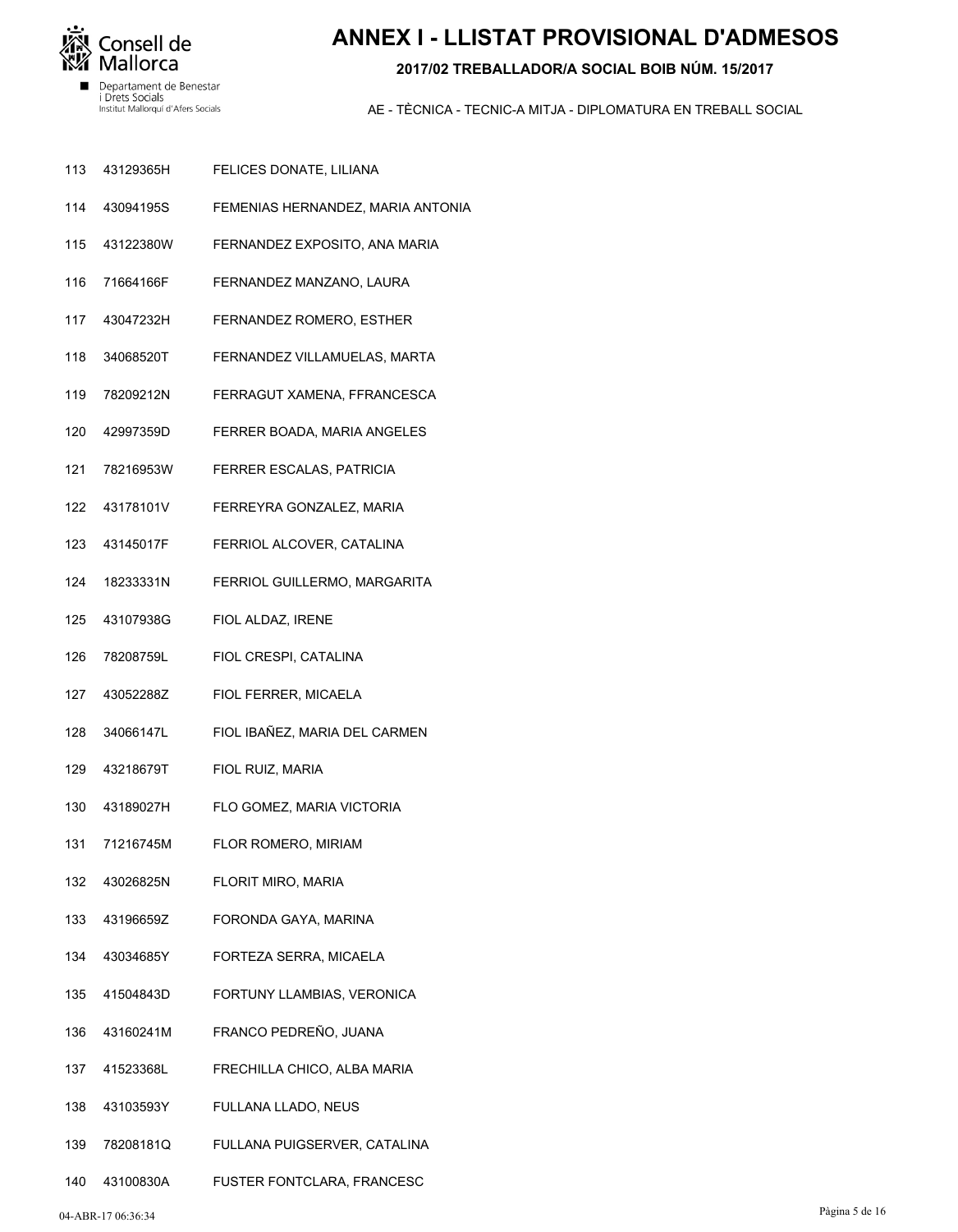

# **ANNEX I - LLISTAT PROVISIONAL D'ADMESOS**

### 2017/02 TREBALLADOR/A SOCIAL BOIB NÚM, 15/2017

- 113 43129365H FELICES DONATE, LILIANA
- 43094195S FEMENIAS HERNANDEZ, MARIA ANTONIA 114
- 115 43122380W FERNANDEZ EXPOSITO, ANA MARIA
- 116 71664166F FERNANDEZ MANZANO, LAURA
- 117 43047232H FERNANDEZ ROMERO, ESTHER
- 34068520T 118 FERNANDEZ VILLAMUELAS, MARTA
- 119 78209212N FERRAGUT XAMENA, FFRANCESCA
- 42997359D FERRER BOADA, MARIA ANGELES  $120$
- 78216953W FERRER ESCALAS, PATRICIA  $121$
- 43178101V 122 FERREYRA GONZALEZ, MARIA
- 123 43145017F FERRIOL ALCOVER, CATALINA
- 124 18233331N FERRIOL GUILLERMO, MARGARITA
- 125 43107938G FIOL ALDAZ, IRENE
- 126 78208759L FIOL CRESPI, CATALINA
- 127 43052288Z FIOL FERRER, MICAELA
- 128 34066147L FIOL IBAÑEZ, MARIA DEL CARMEN
- 43218679T 129 FIOL RUIZ, MARIA
- 130 43189027H FLO GOMEZ, MARIA VICTORIA
- 71216745M 131 FLOR ROMERO, MIRIAM
- 132 43026825N FLORIT MIRO, MARIA
- 133 43196659Z FORONDA GAYA, MARINA
- 134 43034685Y FORTEZA SERRA, MICAELA
- 41504843D 135 FORTUNY LLAMBIAS, VERONICA
- 43160241M FRANCO PEDREÑO, JUANA 136
- 41523368L FRECHILLA CHICO, ALBA MARIA 137
- 43103593Y 138 FULLANA LLADO, NEUS
- 78208181Q FULLANA PUIGSERVER, CATALINA 139
- 140 43100830A FUSTER FONTCLARA, FRANCESC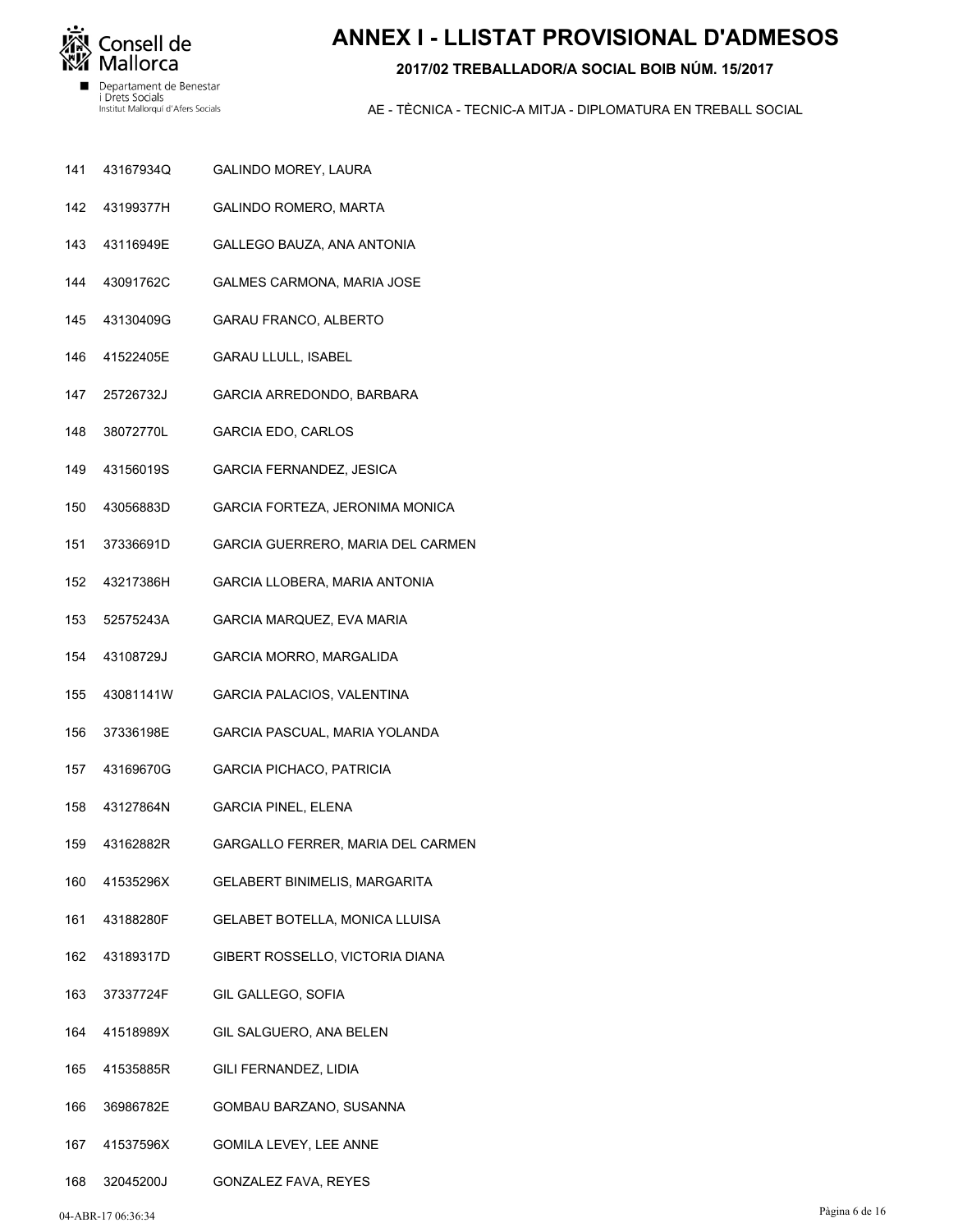

# **ANNEX I - LLISTAT PROVISIONAL D'ADMESOS**

### 2017/02 TREBALLADOR/A SOCIAL BOIB NÚM, 15/2017

- 141 43167934Q GALINDO MOREY, LAURA
- 142 43199377H GALINDO ROMERO, MARTA
- 143 43116949E GALLEGO BAUZA, ANA ANTONIA
- 144 43091762C GALMES CARMONA, MARIA JOSE
- 145 43130409G GARAU FRANCO, ALBERTO
- 41522405E 146 **GARAU LLULL, ISABEL**
- 147 25726732J GARCIA ARREDONDO, BARBARA
- 38072770L 148 **GARCIA EDO, CARLOS**
- 43156019S 149 GARCIA FERNANDEZ, JESICA
- 43056883D GARCIA FORTEZA, JERONIMA MONICA 150
- 151 37336691D GARCIA GUERRERO, MARIA DEL CARMEN
- 152 43217386H GARCIA LLOBERA, MARIA ANTONIA
- 153 52575243A GARCIA MARQUEZ, EVA MARIA
- 154 43108729J **GARCIA MORRO, MARGALIDA**
- 155 43081141W GARCIA PALACIOS, VALENTINA
- 37336198E GARCIA PASCUAL, MARIA YOLANDA 156
- 43169670G GARCIA PICHACO, PATRICIA 157
- 158 43127864N **GARCIA PINEL, ELENA**
- 43162882R GARGALLO FERRER, MARIA DEL CARMEN 159
- 160 41535296X GELABERT BINIMELIS, MARGARITA
- 161 43188280F GELABET BOTELLA, MONICA LLUISA
- 162 43189317D GIBERT ROSSELLO, VICTORIA DIANA
- 37337724F 163 **GIL GALLEGO, SOFIA**
- 41518989X GIL SALGUERO, ANA BELEN 164
- 41535885R **GILI FERNANDEZ, LIDIA** 165
- 166 36986782E GOMBAU BARZANO, SUSANNA
- 41537596X **GOMILA LEVEY, LEE ANNE** 167
- 168 32045200J GONZALEZ FAVA, REYES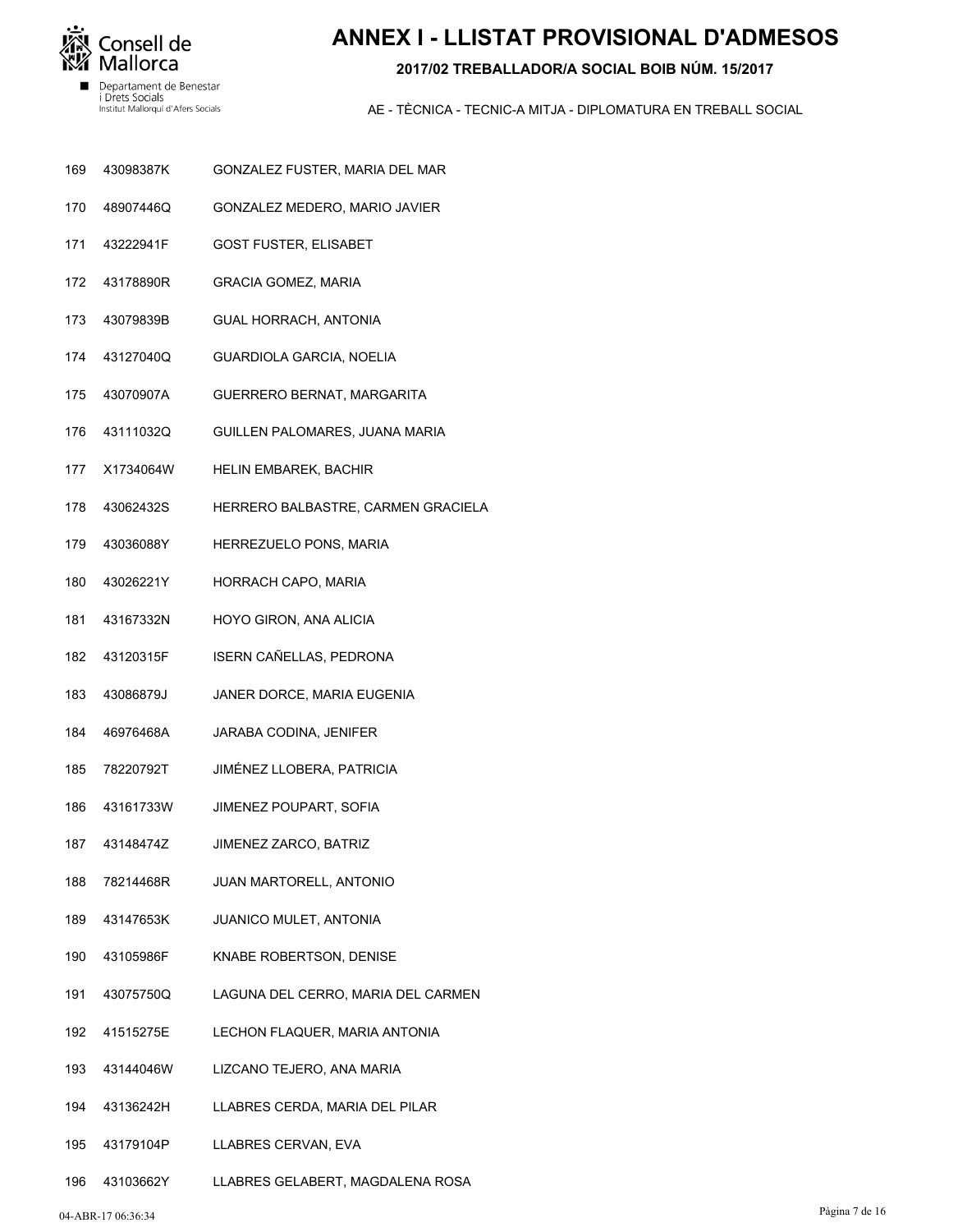

# **ANNEX I - LLISTAT PROVISIONAL D'ADMESOS**

### **2017/02 TREBALLADOR/A SOCIAL BOIB NÚM. 15/2017**

- GONZALEZ FUSTER, MARIA DEL MAR 43098387K 169
- GONZALEZ MEDERO, MARIO JAVIER 48907446Q 170
- GOST FUSTER, ELISABET 43222941F 171
- GRACIA GOMEZ, MARIA 43178890R 172
- GUAL HORRACH, ANTONIA 43079839B 173
- GUARDIOLA GARCIA, NOELIA 43127040Q 174
- GUERRERO BERNAT, MARGARITA 43070907A 175
- GUILLEN PALOMARES, JUANA MARIA 43111032Q 176
- HELIN EMBAREK, BACHIR X1734064W 177
- HERRERO BALBASTRE, CARMEN GRACIELA 43062432S 178
- HERREZUELO PONS, MARIA 43036088Y 179
- HORRACH CAPO, MARIA 43026221Y 180
- HOYO GIRON, ANA ALICIA 43167332N 181
- ISERN CAÑELLAS, PEDRONA 43120315F 182
- JANER DORCE, MARIA EUGENIA 43086879J 183
- JARABA CODINA, JENIFER 46976468A 184
- JIMÉNEZ LLOBERA, PATRICIA 78220792T 185
- JIMENEZ POUPART, SOFIA 43161733W 186
- JIMENEZ ZARCO, BATRIZ 43148474Z 187
- JUAN MARTORELL, ANTONIO 78214468R 188
- JUANICO MULET, ANTONIA 43147653K 189
- KNABE ROBERTSON, DENISE 43105986F 190
- LAGUNA DEL CERRO, MARIA DEL CARMEN 43075750Q 191
- LECHON FLAQUER, MARIA ANTONIA 41515275E 192
- LIZCANO TEJERO, ANA MARIA 43144046W 193
- LLABRES CERDA, MARIA DEL PILAR 43136242H 194
- LLABRES CERVAN, EVA 43179104P 195
- LLABRES GELABERT, MAGDALENA ROSA 43103662Y 196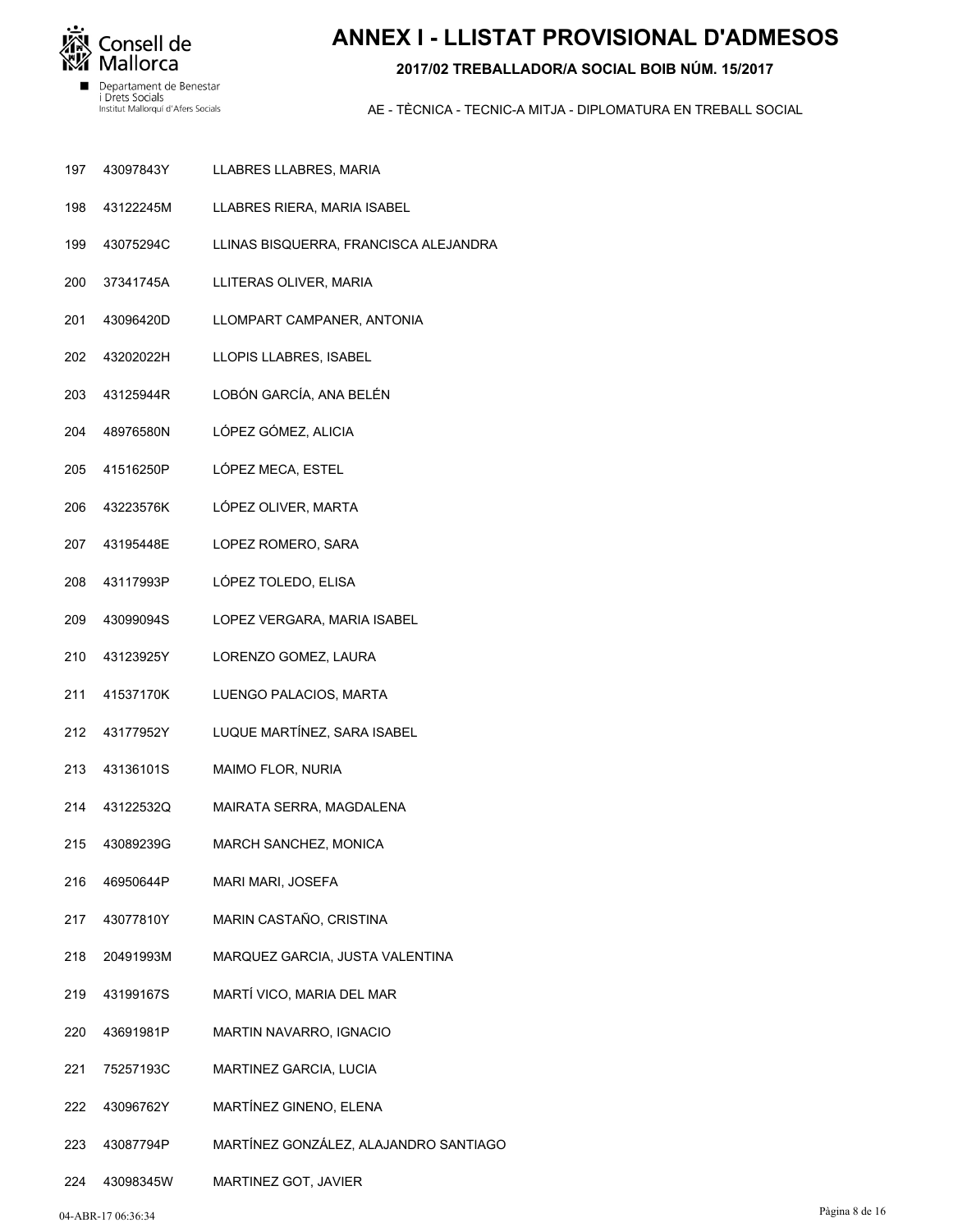

# **ANNEX I - LLISTAT PROVISIONAL D'ADMESOS**

### **2017/02 TREBALLADOR/A SOCIAL BOIB NÚM. 15/2017**

- LLABRES LLABRES, MARIA 43097843Y 197
- LLABRES RIERA, MARIA ISABEL 43122245M 198
- LLINAS BISQUERRA, FRANCISCA ALEJANDRA 43075294C 199
- LLITERAS OLIVER, MARIA 37341745A 200
- LLOMPART CAMPANER, ANTONIA 43096420D 201
- LLOPIS LLABRES, ISABEL 43202022H 202
- LOBÓN GARCÍA, ANA BELÉN 43125944R 203
- LÓPEZ GÓMEZ, ALICIA 48976580N 204
- LÓPEZ MECA, ESTEL 41516250P 205
- LÓPEZ OLIVER, MARTA 43223576K 206
- LOPEZ ROMERO, SARA 43195448E 207
- LÓPEZ TOLEDO, ELISA 43117993P 208
- LOPEZ VERGARA, MARIA ISABEL 43099094S 209
- LORENZO GOMEZ, LAURA 43123925Y 210
- LUENGO PALACIOS, MARTA 41537170K 211
- LUQUE MARTÍNEZ, SARA ISABEL 43177952Y 212
- MAIMO FLOR, NURIA 43136101S 213
- MAIRATA SERRA, MAGDALENA 43122532Q 214
- MARCH SANCHEZ, MONICA 43089239G 215
- MARI MARI, JOSEFA 46950644P 216
- MARIN CASTAÑO, CRISTINA 43077810Y 217
- MARQUEZ GARCIA, JUSTA VALENTINA 20491993M 218
- MARTÍ VICO, MARIA DEL MAR 43199167S 219
- MARTIN NAVARRO, IGNACIO 43691981P 220
- MARTINEZ GARCIA, LUCIA 75257193C 221
- MARTÍNEZ GINENO, ELENA 43096762Y 222
- MARTÍNEZ GONZÁLEZ, ALAJANDRO SANTIAGO 43087794P 223
- MARTINEZ GOT, JAVIER 43098345W 224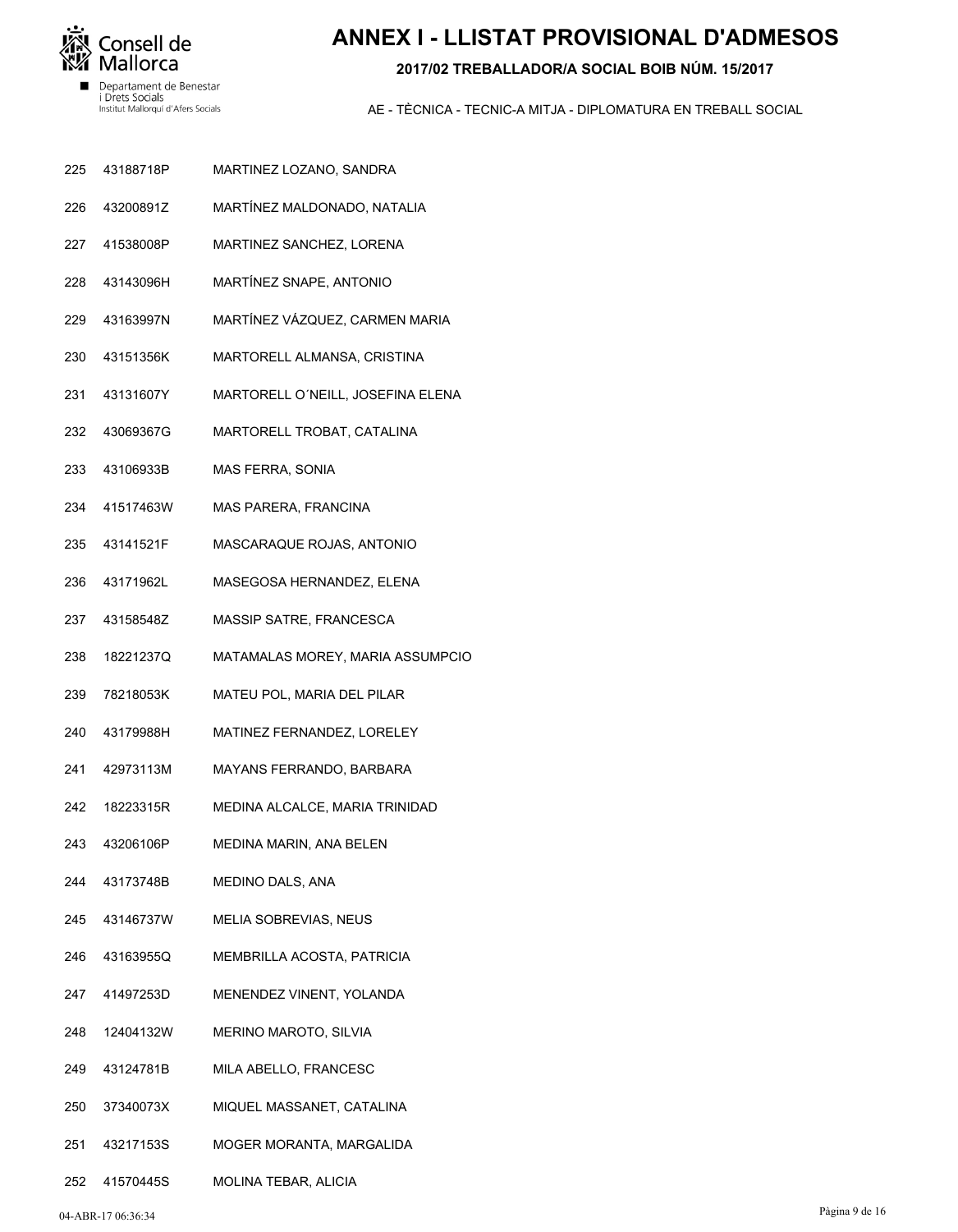

# **ANNEX I - LLISTAT PROVISIONAL D'ADMESOS**

### 2017/02 TREBALLADOR/A SOCIAL BOIB NÚM, 15/2017

- 225 43188718P MARTINEZ LOZANO, SANDRA
- 43200891Z MARTÍNEZ MALDONADO, NATALIA 226
- 227 41538008P MARTINEZ SANCHEZ, LORENA
- 228 43143096H MARTÍNEZ SNAPE, ANTONIO
- 229 43163997N MARTÍNEZ VÁZQUEZ, CARMEN MARIA
- 230 43151356K MARTORELL ALMANSA, CRISTINA
- 231 43131607Y MARTORELL O'NEILL, JOSEFINA ELENA
- 43069367G MARTORELL TROBAT, CATALINA 232
- 43106933B 233 MAS FERRA, SONIA
- 234 41517463W MAS PARERA, FRANCINA
- 235 43141521F MASCARAQUE ROJAS, ANTONIO
- 236 43171962L MASEGOSA HERNANDEZ, ELENA
- 237 43158548Z MASSIP SATRE, FRANCESCA
- 238 18221237Q MATAMALAS MOREY, MARIA ASSUMPCIO
- 239 78218053K MATEU POL, MARIA DEL PILAR
- 240 43179988H MATINEZ FERNANDEZ, LORELEY
- 42973113M MAYANS FERRANDO, BARBARA 241
- 242 18223315R MEDINA ALCALCE, MARIA TRINIDAD
- 43206106P 243 MEDINA MARIN, ANA BELEN
- 244 43173748B MEDINO DALS, ANA
- 245 43146737W MELIA SOBREVIAS, NEUS
- 246 43163955Q MEMBRILLA ACOSTA, PATRICIA
- 41497253D 247 MENENDEZ VINENT, YOLANDA
- 248 12404132W MERINO MAROTO, SILVIA
- 43124781B MILA ABELLO, FRANCESC 249
- 37340073X 250 MIQUEL MASSANET, CATALINA
- 251 43217153S MOGER MORANTA, MARGALIDA
- 252 41570445S MOLINA TEBAR, ALICIA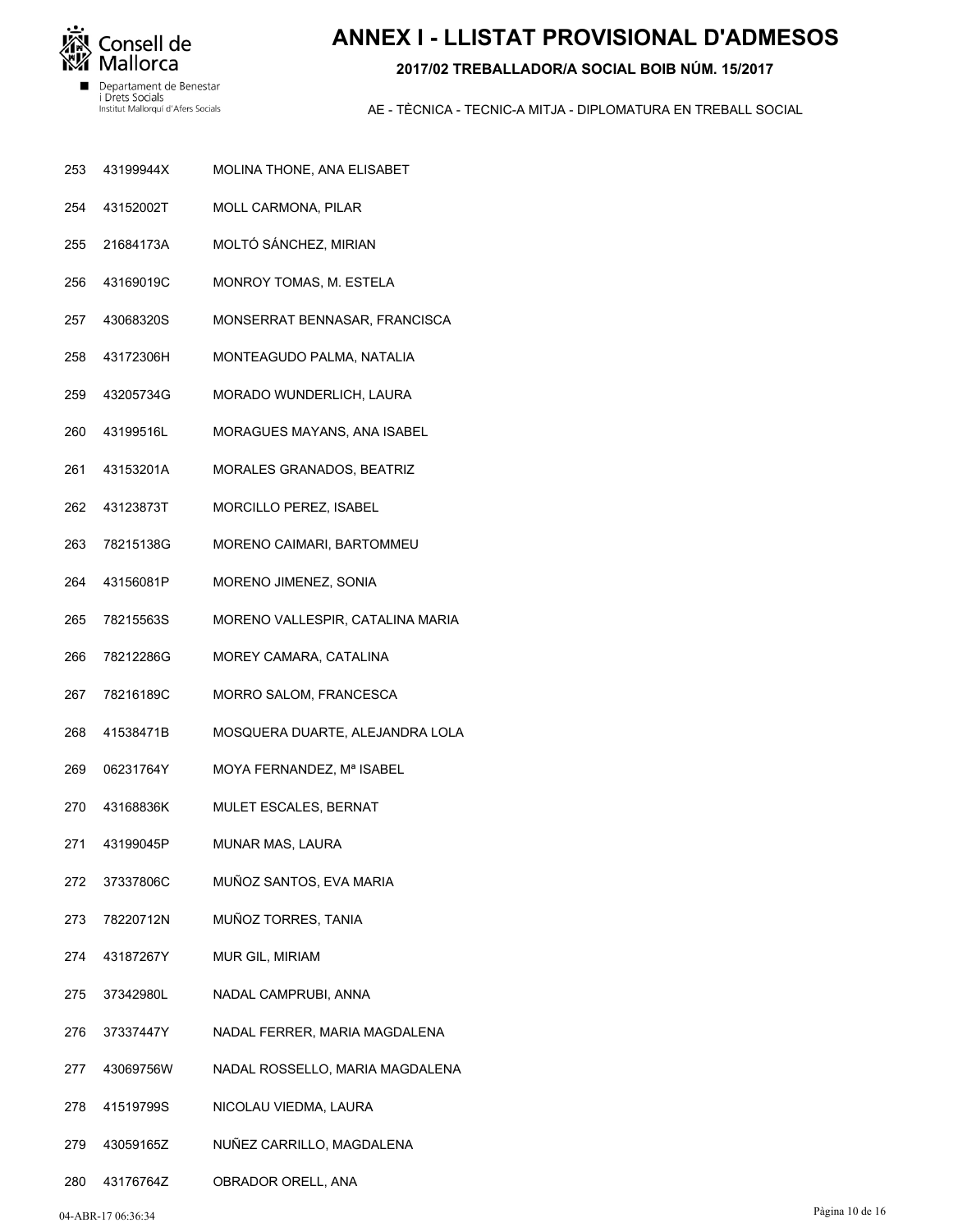

# **ANNEX I - LLISTAT PROVISIONAL D'ADMESOS**

### **2017/02 TREBALLADOR/A SOCIAL BOIB NÚM. 15/2017**

- MOLINA THONE, ANA ELISABET 43199944X 253
- MOLL CARMONA, PILAR 43152002T 254
- MOLTÓ SÁNCHEZ, MIRIAN 21684173A 255
- MONROY TOMAS, M. ESTELA 43169019C 256
- MONSERRAT BENNASAR, FRANCISCA 43068320S 257
- MONTEAGUDO PALMA, NATALIA 43172306H 258
- MORADO WUNDERLICH, LAURA 43205734G 259
- MORAGUES MAYANS, ANA ISABEL 43199516L 260
- MORALES GRANADOS, BEATRIZ 43153201A 261
- MORCILLO PEREZ, ISABEL 43123873T 262
- MORENO CAIMARI, BARTOMMEU 78215138G 263
- MORENO JIMENEZ, SONIA 43156081P 264
- MORENO VALLESPIR, CATALINA MARIA 78215563S 265
- MOREY CAMARA, CATALINA 78212286G 266
- MORRO SALOM, FRANCESCA 78216189C 267
- MOSQUERA DUARTE, ALEJANDRA LOLA 41538471B 268
- MOYA FERNANDEZ, Mª ISABEL 06231764Y 269
- MULET ESCALES, BERNAT 43168836K 270
- MUNAR MAS, LAURA 43199045P 271
- MUÑOZ SANTOS, EVA MARIA 37337806C 272
- MUÑOZ TORRES, TANIA 78220712N 273
- MUR GIL, MIRIAM 43187267Y 274
- NADAL CAMPRUBI, ANNA 37342980L 275
- NADAL FERRER, MARIA MAGDALENA 37337447Y 276
- NADAL ROSSELLO, MARIA MAGDALENA 43069756W 277
- NICOLAU VIEDMA, LAURA 41519799S 278
- NUÑEZ CARRILLO, MAGDALENA 43059165Z 279
- OBRADOR ORELL, ANA 43176764Z 280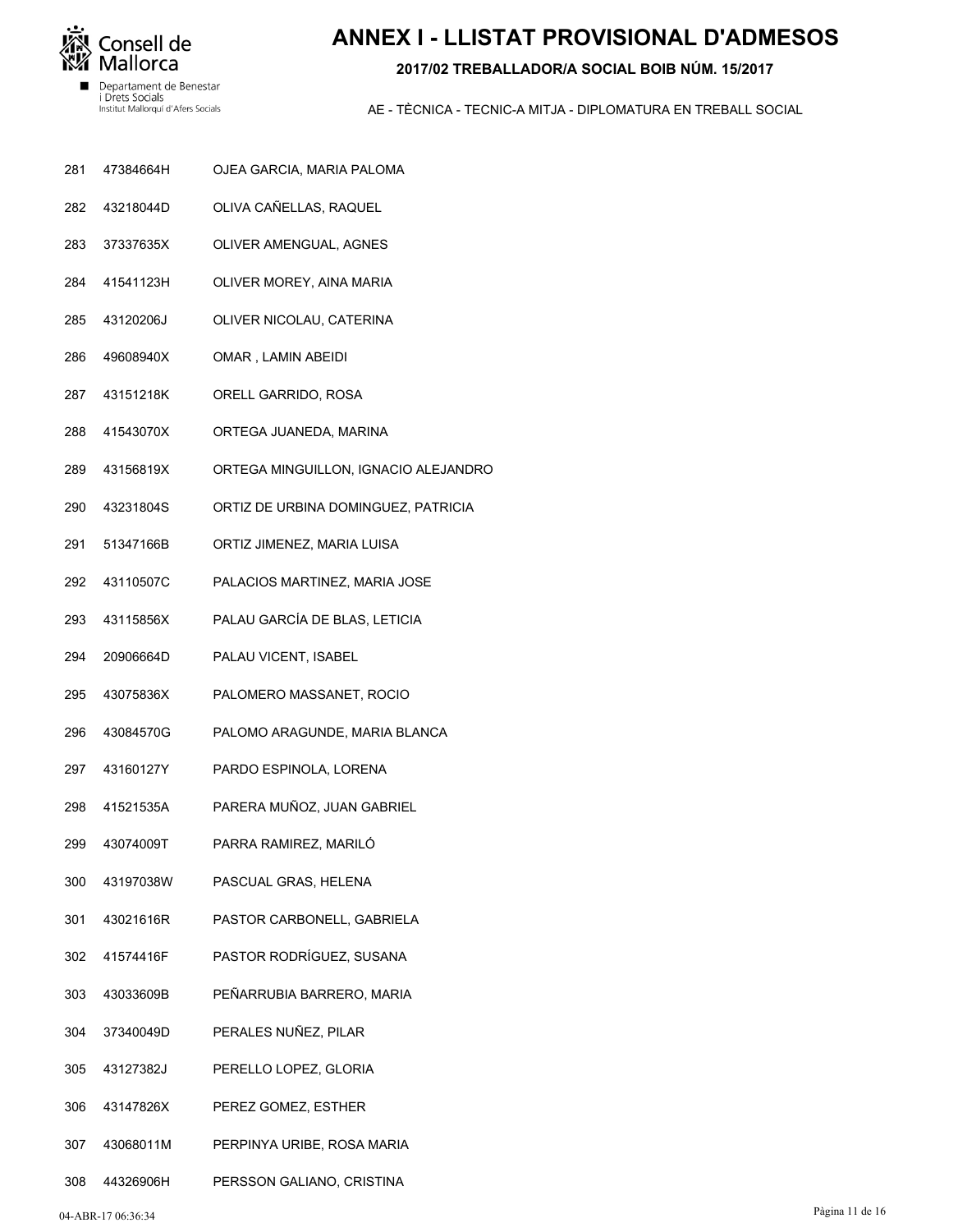

# **ANNEX I - LLISTAT PROVISIONAL D'ADMESOS**

### **2017/02 TREBALLADOR/A SOCIAL BOIB NÚM. 15/2017**

- OJEA GARCIA, MARIA PALOMA 47384664H 281
- OLIVA CAÑELLAS, RAQUEL 43218044D 282
- OLIVER AMENGUAL, AGNES 37337635X 283
- OLIVER MOREY, AINA MARIA 41541123H 284
- OLIVER NICOLAU, CATERINA 43120206J 285
- OMAR , LAMIN ABEIDI 49608940X 286
- ORELL GARRIDO, ROSA 43151218K 287
- ORTEGA JUANEDA, MARINA 41543070X 288
- ORTEGA MINGUILLON, IGNACIO ALEJANDRO 43156819X 289
- ORTIZ DE URBINA DOMINGUEZ, PATRICIA 43231804S 290
- ORTIZ JIMENEZ, MARIA LUISA 51347166B 291
- PALACIOS MARTINEZ, MARIA JOSE 43110507C 292
- PALAU GARCÍA DE BLAS, LETICIA 43115856X 293
- PALAU VICENT, ISABEL 20906664D 294
- PALOMERO MASSANET, ROCIO 43075836X 295
- PALOMO ARAGUNDE, MARIA BLANCA 43084570G 296
- PARDO ESPINOLA, LORENA 43160127Y 297
- PARERA MUÑOZ, JUAN GABRIEL 41521535A 298
- PARRA RAMIREZ, MARILÓ 43074009T 299
- PASCUAL GRAS, HELENA 43197038W 300
- PASTOR CARBONELL, GABRIELA 43021616R 301
- PASTOR RODRÍGUEZ, SUSANA 41574416F 302
- PEÑARRUBIA BARRERO, MARIA 43033609B 303
- PERALES NUÑEZ, PILAR 37340049D 304
- PERELLO LOPEZ, GLORIA 43127382J 305
- PEREZ GOMEZ, ESTHER 43147826X 306
- PERPINYA URIBE, ROSA MARIA 43068011M 307
- PERSSON GALIANO, CRISTINA 44326906H 308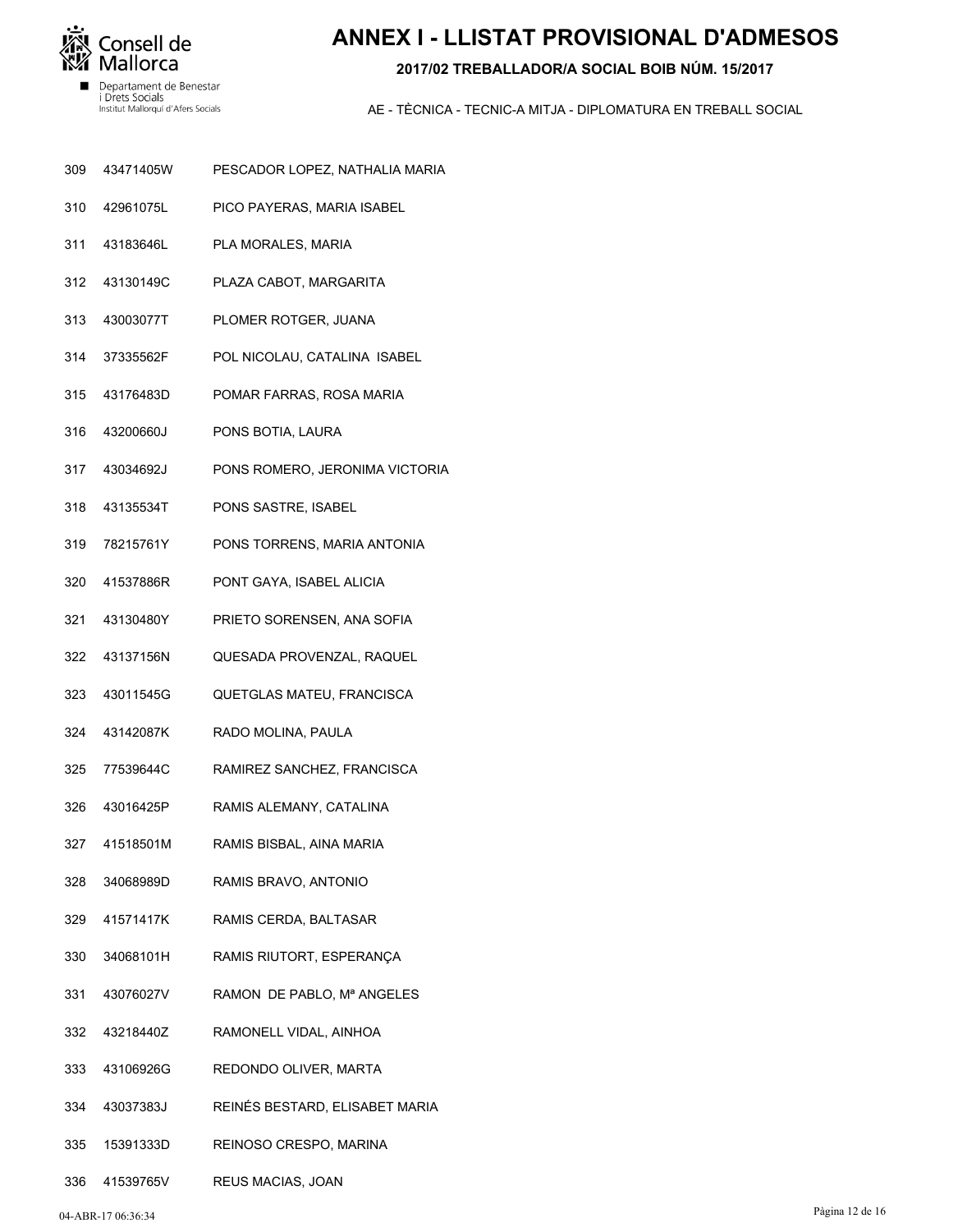

# **ANNEX I - LLISTAT PROVISIONAL D'ADMESOS**

### 2017/02 TREBALLADOR/A SOCIAL BOIB NÚM, 15/2017

- 309 43471405W PESCADOR LOPEZ, NATHALIA MARIA
- 42961075L 310 PICO PAYERAS, MARIA ISABEL
- 311 43183646L PLA MORALES, MARIA
- 312 43130149C PLAZA CABOT, MARGARITA
- 313 43003077T PLOMER ROTGER, JUANA
- 37335562F 314 POL NICOLAU, CATALINA ISABEL
- 315 43176483D POMAR FARRAS, ROSA MARIA
- 43200660J 316 PONS BOTIA, LAURA
- 317 43034692J PONS ROMERO, JERONIMA VICTORIA
- 43135534T PONS SASTRE, ISABEL 318
- 78215761Y 319 PONS TORRENS, MARIA ANTONIA
- 320 41537886R PONT GAYA, ISABEL ALICIA
- 321 43130480Y PRIETO SORENSEN, ANA SOFIA
- 322 43137156N QUESADA PROVENZAL, RAQUEL
- 323 43011545G QUETGLAS MATEU, FRANCISCA
- 324 43142087K RADO MOLINA, PAULA
- RAMIREZ SANCHEZ, FRANCISCA 77539644C 325
- 326 43016425P RAMIS ALEMANY, CATALINA
- 41518501M 327 RAMIS BISBAL, AINA MARIA
- 328 34068989D RAMIS BRAVO, ANTONIO
- 329 41571417K RAMIS CERDA, BALTASAR
- 330 34068101H RAMIS RIUTORT, ESPERANÇA
- 43076027V RAMON DE PABLO, Mª ANGELES 331
- 332 43218440Z RAMONELL VIDAL, AINHOA
- 333 43106926G REDONDO OLIVER, MARTA
- 43037383J REINÉS BESTARD, ELISABET MARIA 334
- 335 15391333D REINOSO CRESPO, MARINA
- 336 41539765V REUS MACIAS, JOAN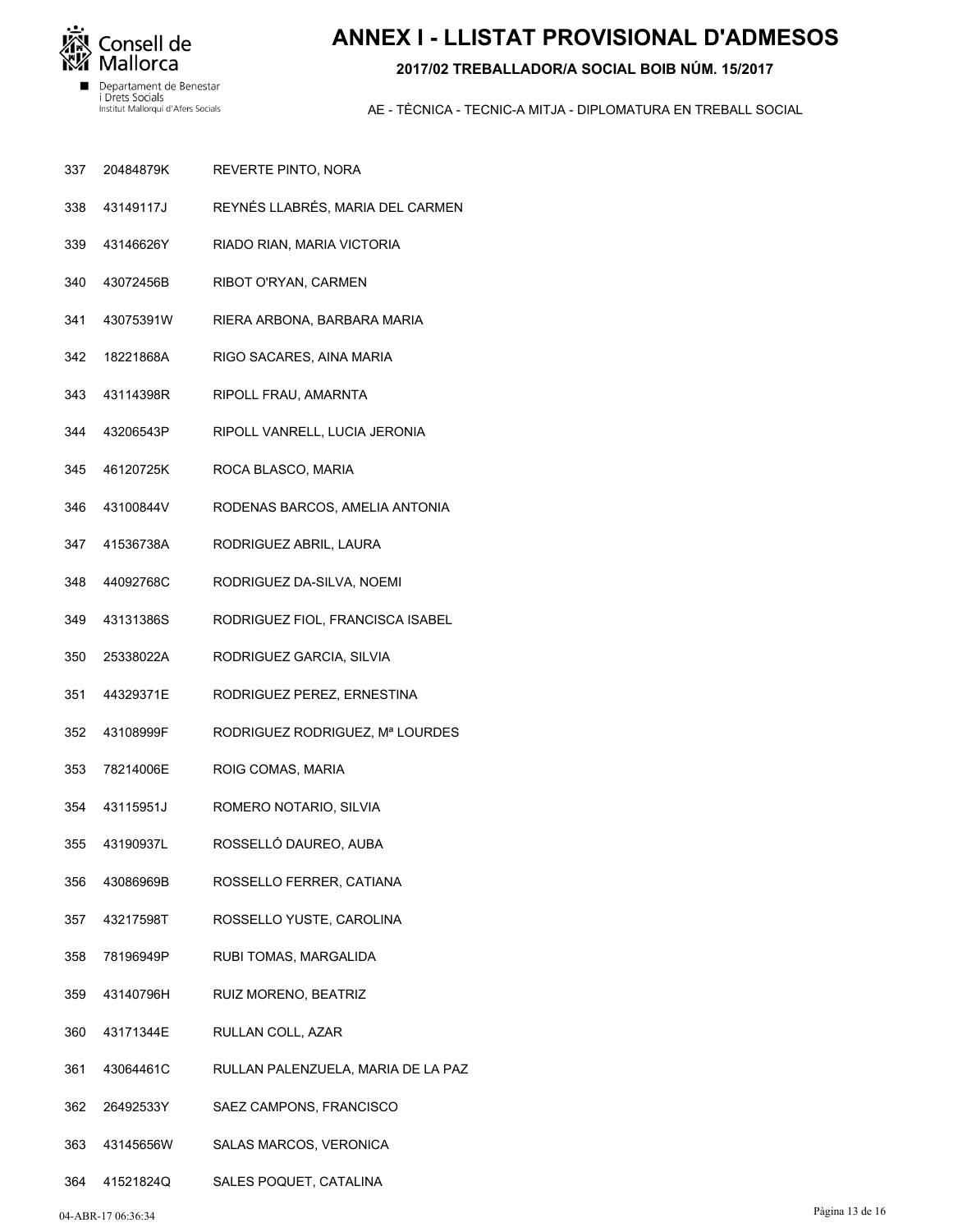

# **ANNEX I - LLISTAT PROVISIONAL D'ADMESOS**

### **2017/02 TREBALLADOR/A SOCIAL BOIB NÚM. 15/2017**

- REVERTE PINTO, NORA 20484879K 337
- REYNÉS LLABRÉS, MARIA DEL CARMEN 43149117J 338
- RIADO RIAN, MARIA VICTORIA 43146626Y 339
- RIBOT O'RYAN, CARMEN 43072456B 340
- RIERA ARBONA, BARBARA MARIA 43075391W 341
- RIGO SACARES, AINA MARIA 18221868A 342
- RIPOLL FRAU, AMARNTA 43114398R 343
- RIPOLL VANRELL, LUCIA JERONIA 43206543P 344
- ROCA BLASCO, MARIA 46120725K 345
- RODENAS BARCOS, AMELIA ANTONIA 43100844V 346
- RODRIGUEZ ABRIL, LAURA 41536738A 347
- RODRIGUEZ DA-SILVA, NOEMI 44092768C 348
- RODRIGUEZ FIOL, FRANCISCA ISABEL 43131386S 349
- RODRIGUEZ GARCIA, SILVIA 25338022A 350
- RODRIGUEZ PEREZ, ERNESTINA 44329371E 351
- RODRIGUEZ RODRIGUEZ, Mª LOURDES 43108999F 352
- ROIG COMAS, MARIA 78214006E 353
- ROMERO NOTARIO, SILVIA 43115951J 354
- ROSSELLÓ DAUREO, AUBA 43190937L 355
- ROSSELLO FERRER, CATIANA 43086969B 356
- ROSSELLO YUSTE, CAROLINA 43217598T 357
- RUBI TOMAS, MARGALIDA 78196949P 358
- RUIZ MORENO, BEATRIZ 43140796H 359
- RULLAN COLL, AZAR 43171344E 360
- RULLAN PALENZUELA, MARIA DE LA PAZ 43064461C 361
- SAEZ CAMPONS, FRANCISCO 26492533Y 362
- SALAS MARCOS, VERONICA 43145656W 363
- SALES POQUET, CATALINA 41521824Q 364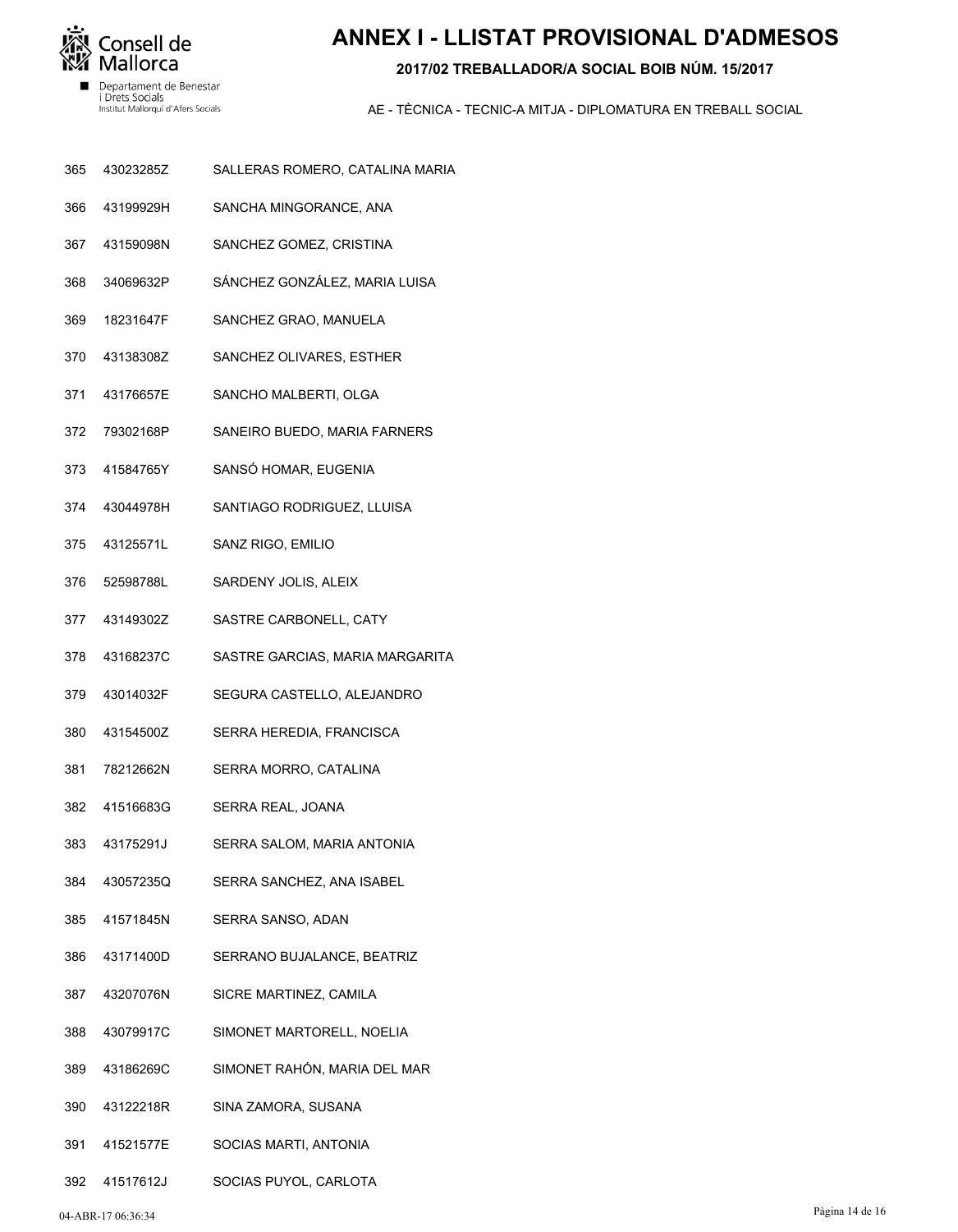

# **ANNEX I - LLISTAT PROVISIONAL D'ADMESOS**

### 2017/02 TREBALLADOR/A SOCIAL BOIB NÚM, 15/2017

- 365 43023285Z SALLERAS ROMERO, CATALINA MARIA
- 43199929H 366 SANCHA MINGORANCE, ANA
- 367 43159098N SANCHEZ GOMEZ, CRISTINA
- 368 34069632P SÁNCHEZ GONZÁLEZ, MARIA LUISA
- 369 18231647F SANCHEZ GRAO, MANUELA
- 43138308Z SANCHEZ OLIVARES, ESTHER 370
- 371 43176657E SANCHO MALBERTI, OLGA
- 79302168P SANEIRO BUEDO, MARIA FARNERS 372
- 41584765Y SANSÓ HOMAR, EUGENIA 373
- 374 43044978H SANTIAGO RODRIGUEZ, LLUISA
- 375 43125571L SANZ RIGO, EMILIO
- 376 52598788L SARDENY JOLIS, ALEIX
- 377 43149302Z SASTRE CARBONELL, CATY
- 378 43168237C SASTRE GARCIAS, MARIA MARGARITA
- 379 43014032F SEGURA CASTELLO, ALEJANDRO
- 380 43154500Z SERRA HEREDIA, FRANCISCA
- 78212662N SERRA MORRO, CATALINA 381
- 382 41516683G SERRA REAL, JOANA
- 43175291J 383 SERRA SALOM, MARIA ANTONIA
- 384 43057235Q SERRA SANCHEZ, ANA ISABEL
- 385 41571845N SERRA SANSO, ADAN
- 386 43171400D SERRANO BUJALANCE, BEATRIZ
- 43207076N 387 SICRE MARTINEZ, CAMILA
- 388 43079917C SIMONET MARTORELL, NOELIA
- 43186269C SIMONET RAHÓN, MARIA DEL MAR 389
- 43122218R 390 SINA ZAMORA, SUSANA
- 391 41521577E SOCIAS MARTI, ANTONIA
- 392 41517612J SOCIAS PUYOL, CARLOTA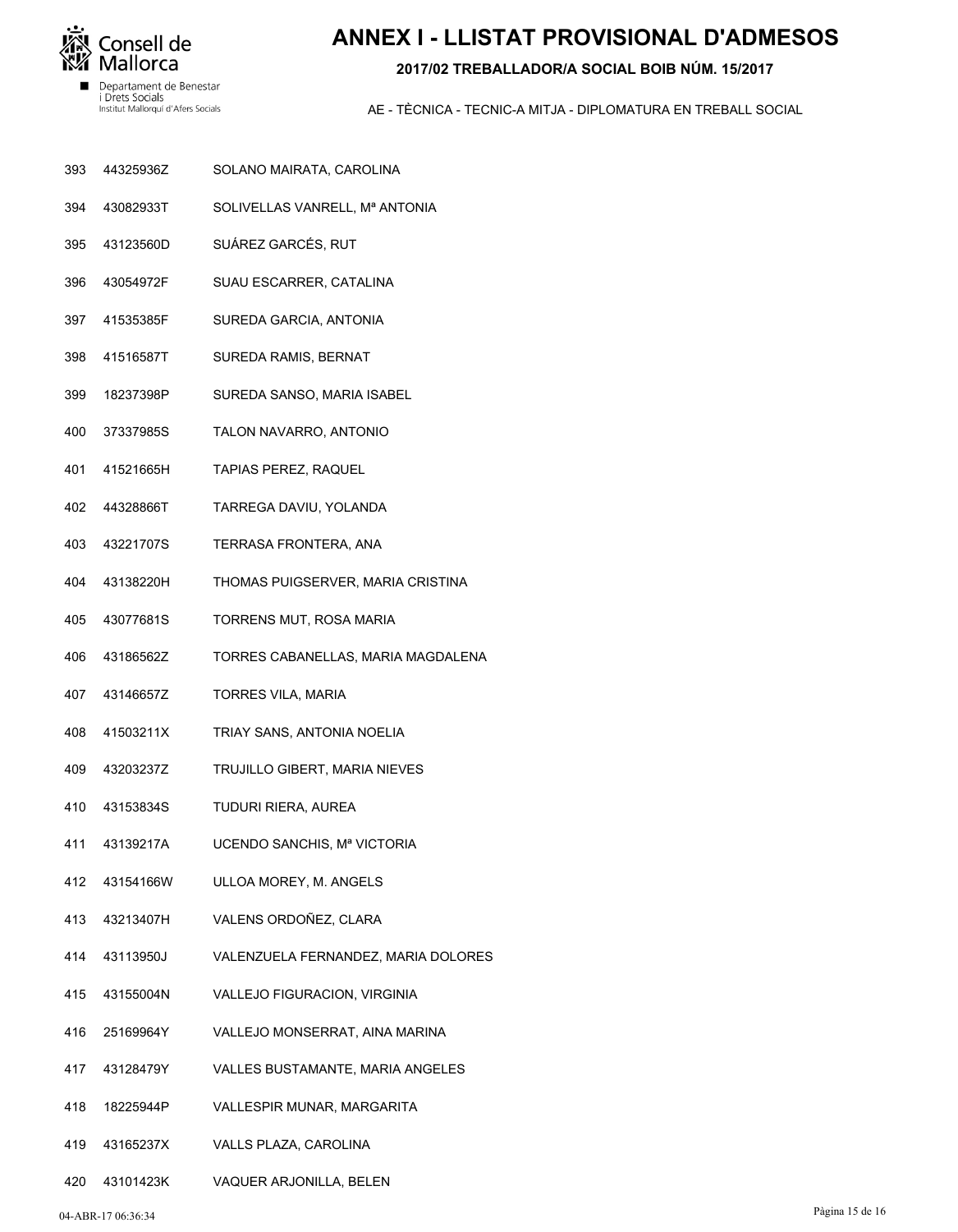

# **ANNEX I - LLISTAT PROVISIONAL D'ADMESOS**

### **2017/02 TREBALLADOR/A SOCIAL BOIB NÚM. 15/2017**

- SOLANO MAIRATA, CAROLINA 44325936Z 393
- SOLIVELLAS VANRELL, Mª ANTONIA 43082933T 394
- SUÁREZ GARCÉS, RUT 43123560D 395
- SUAU ESCARRER, CATALINA 43054972F 396
- SUREDA GARCIA, ANTONIA 41535385F 397
- SUREDA RAMIS, BERNAT 41516587T 398
- SUREDA SANSO, MARIA ISABEL 18237398P 399
- TALON NAVARRO, ANTONIO 37337985S 400
- TAPIAS PEREZ, RAQUEL 41521665H 401
- TARREGA DAVIU, YOLANDA 44328866T 402
- TERRASA FRONTERA, ANA 43221707S 403
- THOMAS PUIGSERVER, MARIA CRISTINA 43138220H 404
- TORRENS MUT, ROSA MARIA 43077681S 405
- TORRES CABANELLAS, MARIA MAGDALENA 43186562Z 406
- TORRES VILA, MARIA 43146657Z 407
- TRIAY SANS, ANTONIA NOELIA 41503211X 408
- TRUJILLO GIBERT, MARIA NIEVES 43203237Z 409
- TUDURI RIERA, AUREA 43153834S 410
- UCENDO SANCHIS, Mª VICTORIA 43139217A 411
- ULLOA MOREY, M. ANGELS 43154166W 412
- VALENS ORDOÑEZ, CLARA 43213407H 413
- VALENZUELA FERNANDEZ, MARIA DOLORES 43113950J 414
- VALLEJO FIGURACION, VIRGINIA 43155004N 415
- VALLEJO MONSERRAT, AINA MARINA 25169964Y 416
- VALLES BUSTAMANTE, MARIA ANGELES 43128479Y 417
- VALLESPIR MUNAR, MARGARITA 18225944P 418
- VALLS PLAZA, CAROLINA 43165237X 419
- VAQUER ARJONILLA, BELEN 43101423K 420